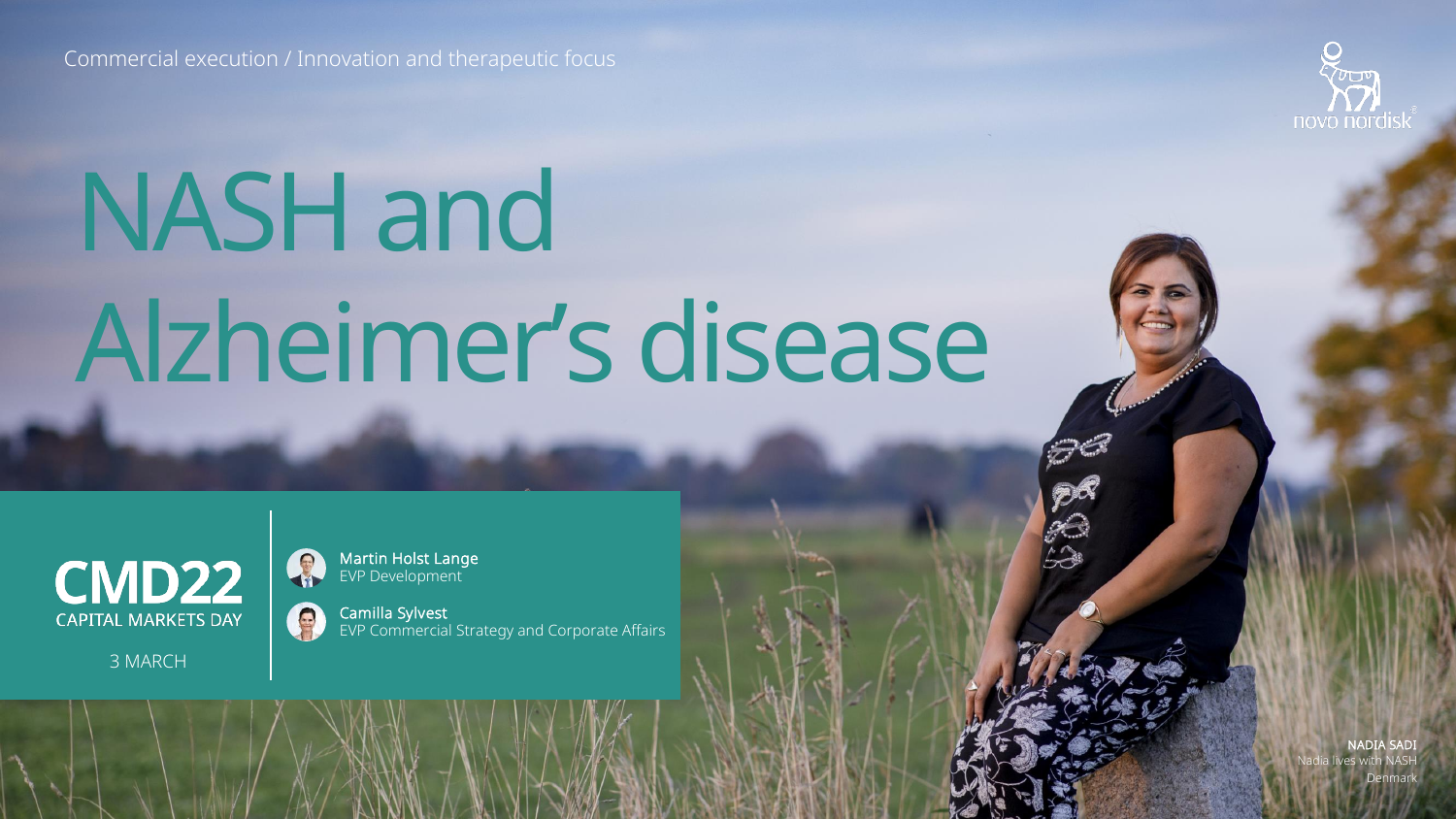Commercial execution / Innovation and therapeutic focus



# NASH and Alzheimer's disease



3 MARCH

Martin Holst Lange EVP Development

Camilla Sylvest EVP Commercial Strategy and Corporate Affairs

> NADIA SADI Nadia lives with NASH Denmark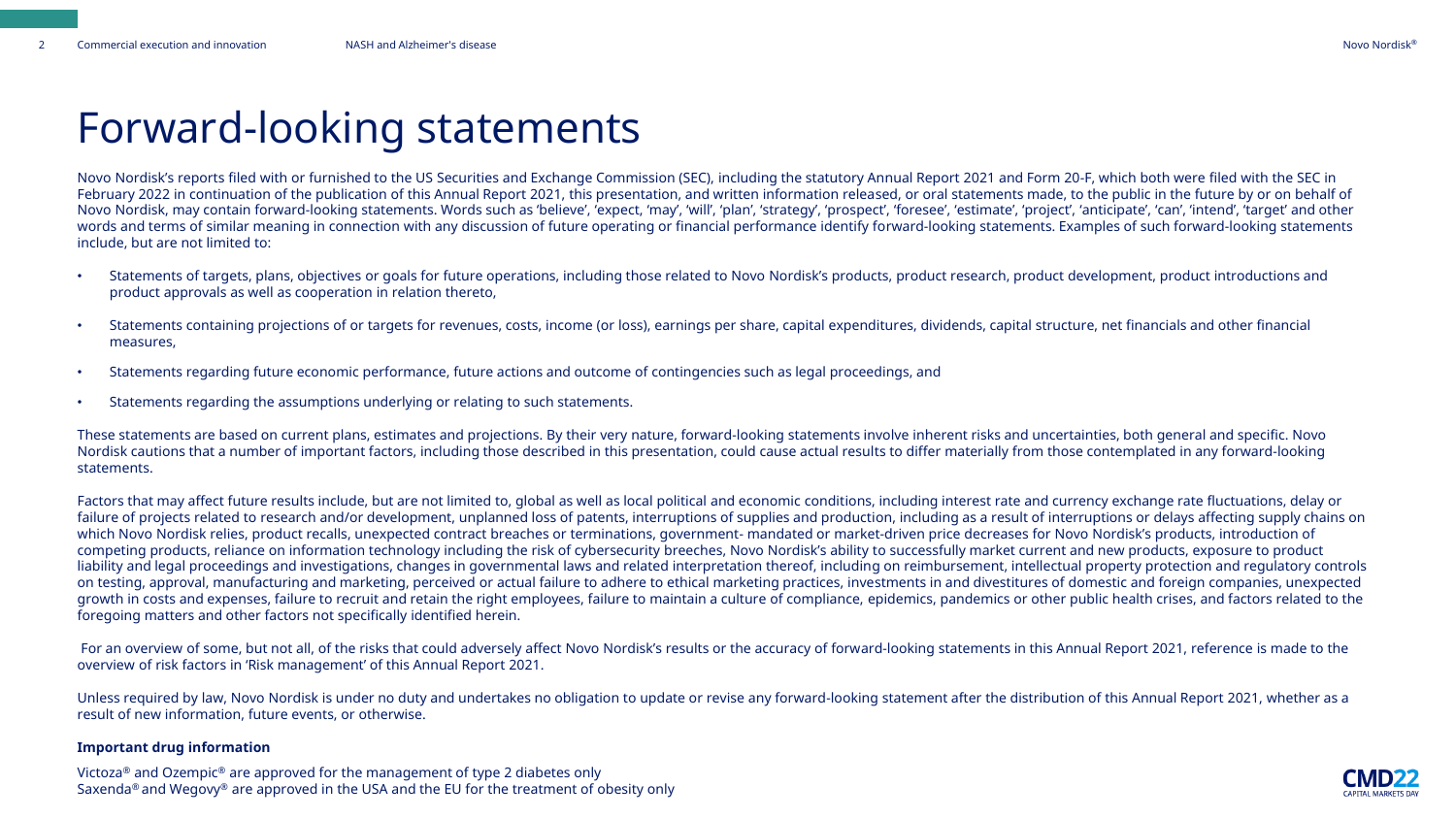### Forward-looking statements

Novo Nordisk's reports filed with or furnished to the US Securities and Exchange Commission (SEC), including the statutory Annual Report 2021 and Form 20-F, which both were filed with the SEC in February 2022 in continuation of the publication of this Annual Report 2021, this presentation, and written information released, or oral statements made, to the public in the future by or on behalf of Novo Nordisk, may contain forward-looking statements. Words such as 'believe', 'expect, 'may', 'will', 'plan', 'strategy', 'prospect', 'foresee', 'estimate', 'project', 'anticipate', 'can', 'intend', 'target' and other words and terms of similar meaning in connection with any discussion of future operating or financial performance identify forward-looking statements. Examples of such forward-looking statements include, but are not limited to:

- Statements of targets, plans, objectives or goals for future operations, including those related to Novo Nordisk's products, product research, product development, product introductions and product approvals as well as cooperation in relation thereto,
- Statements containing projections of or targets for revenues, costs, income (or loss), earnings per share, capital expenditures, dividends, capital structure, net financials and other financial measures,
- Statements regarding future economic performance, future actions and outcome of contingencies such as legal proceedings, and
- Statements regarding the assumptions underlying or relating to such statements.

These statements are based on current plans, estimates and projections. By their very nature, forward-looking statements involve inherent risks and uncertainties, both general and specific. Novo Nordisk cautions that a number of important factors, including those described in this presentation, could cause actual results to differ materially from those contemplated in any forward-looking statements.

Factors that may affect future results include, but are not limited to, global as well as local political and economic conditions, including interest rate and currency exchange rate fluctuations, delay or failure of projects related to research and/or development, unplanned loss of patents, interruptions of supplies and production, including as a result of interruptions or delays affecting supply chains on which Novo Nordisk relies, product recalls, unexpected contract breaches or terminations, government- mandated or market-driven price decreases for Novo Nordisk's products, introduction of competing products, reliance on information technology including the risk of cybersecurity breeches, Novo Nordisk's ability to successfully market current and new products, exposure to product liability and legal proceedings and investigations, changes in governmental laws and related interpretation thereof, including on reimbursement, intellectual property protection and regulatory controls on testing, approval, manufacturing and marketing, perceived or actual failure to adhere to ethical marketing practices, investments in and divestitures of domestic and foreign companies, unexpected growth in costs and expenses, failure to recruit and retain the right employees, failure to maintain a culture of compliance, epidemics, pandemics or other public health crises, and factors related to the foregoing matters and other factors not specifically identified herein.

For an overview of some, but not all, of the risks that could adversely affect Novo Nordisk's results or the accuracy of forward-looking statements in this Annual Report 2021, reference is made to the overview of risk factors in 'Risk management' of this Annual Report 2021.

Unless required by law, Novo Nordisk is under no duty and undertakes no obligation to update or revise any forward-looking statement after the distribution of this Annual Report 2021, whether as a result of new information, future events, or otherwise.

#### **Important drug information**

Victoza® and Ozempic® are approved for the management of type 2 diabetes only Saxenda<sup>®</sup> and Wegovy<sup>®</sup> are approved in the USA and the EU for the treatment of obesity only

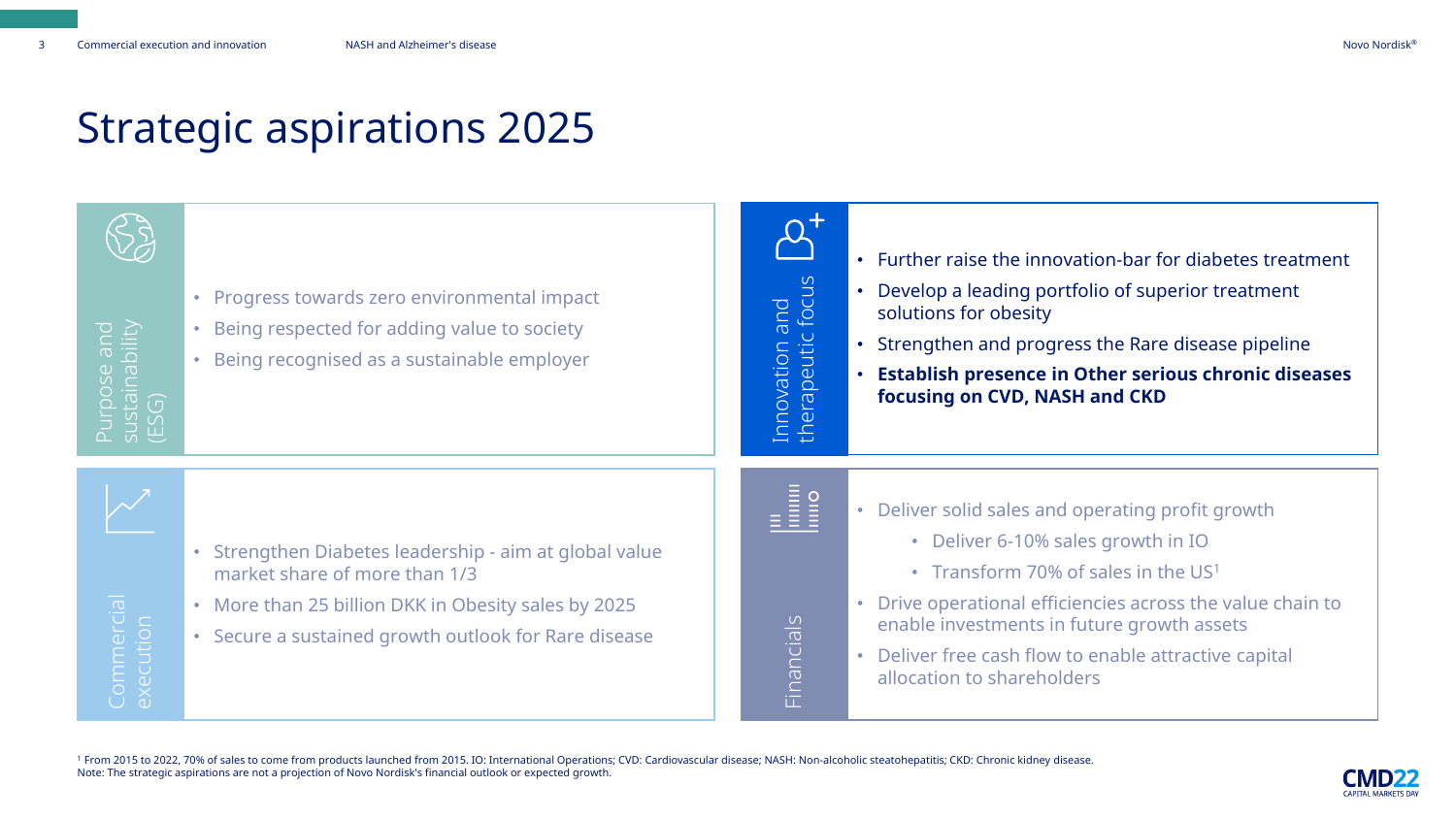### Strategic aspirations 2025

| e and<br>ability               | • Progress towards zero environmental impact<br>Being respected for adding value to society<br>$\bullet$<br>Being recognised as a sustainable employer                                               | and<br>c focus<br>peutic<br>ovation<br>$\mathbb{C}$<br>$\omega$ | • Further raise the innovation-bar for diabetes treatment<br>• Develop a leading portfolio of superior treatment<br>solutions for obesity<br>• Strengthen and progress the Rare disease pipeline<br>• Establish presence in Other serious chronic diseases<br>focusing on CVD, NASH and CKD                                       |
|--------------------------------|------------------------------------------------------------------------------------------------------------------------------------------------------------------------------------------------------|-----------------------------------------------------------------|-----------------------------------------------------------------------------------------------------------------------------------------------------------------------------------------------------------------------------------------------------------------------------------------------------------------------------------|
| <b>Commercial</b><br>execution | Strengthen Diabetes leadership - aim at global value<br>market share of more than 1/3<br>• More than 25 billion DKK in Obesity sales by 2025<br>• Secure a sustained growth outlook for Rare disease | Financials                                                      | • Deliver solid sales and operating profit growth<br>• Deliver 6-10% sales growth in IO<br>• Transform 70% of sales in the US1<br>• Drive operational efficiencies across the value chain to<br>enable investments in future growth assets<br>• Deliver free cash flow to enable attractive capital<br>allocation to shareholders |

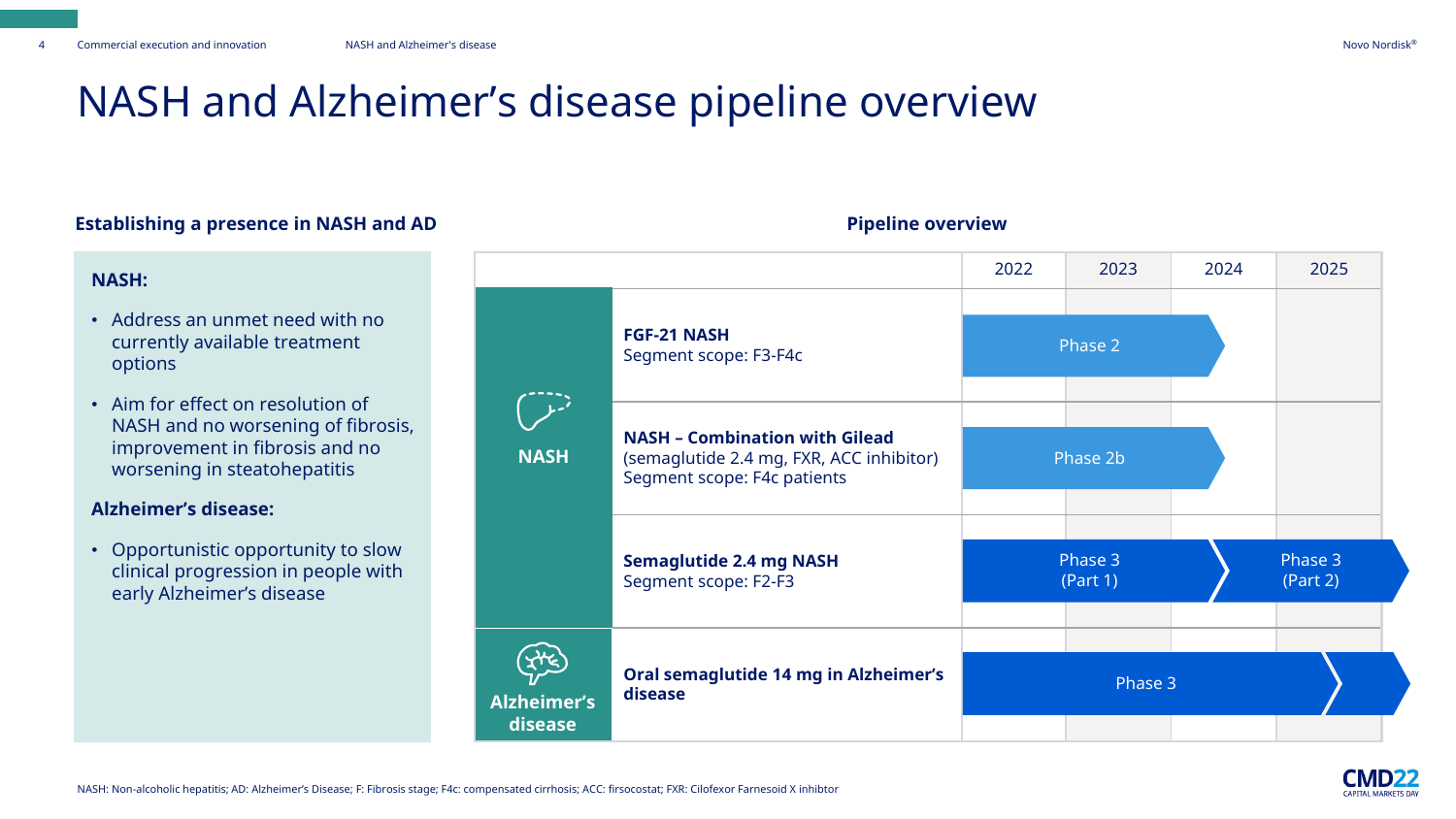### NASH and Alzheimer's disease pipeline overview

#### **Establishing a presence in NASH and AD**

#### **NASH:**

- Address an unmet need with no currently available treatment options
- Aim for effect on resolution of NASH and no worsening of fibrosis, improvement in fibrosis and no worsening in steatohepatitis

#### **Alzheimer's disease:**

• Opportunistic opportunity to slow clinical progression in people with early Alzheimer's disease

|                               |                                                                                                                  | 2022 | 2023                | 2024 | 2025                |  |
|-------------------------------|------------------------------------------------------------------------------------------------------------------|------|---------------------|------|---------------------|--|
|                               | <b>FGF-21 NASH</b><br>Segment scope: F3-F4c                                                                      |      | Phase 2             |      |                     |  |
| <b>NASH</b>                   | <b>NASH - Combination with Gilead</b><br>(semaglutide 2.4 mg, FXR, ACC inhibitor)<br>Segment scope: F4c patients |      | Phase 2b            |      |                     |  |
|                               | <b>Semaglutide 2.4 mg NASH</b><br>Segment scope: F2-F3                                                           |      | Phase 3<br>(Part 1) |      | Phase 3<br>(Part 2) |  |
| <b>Alzheimer's</b><br>disease | Oral semaglutide 14 mg in Alzheimer's<br>disease                                                                 |      | Phase 3             |      |                     |  |

#### **Pipeline overview**

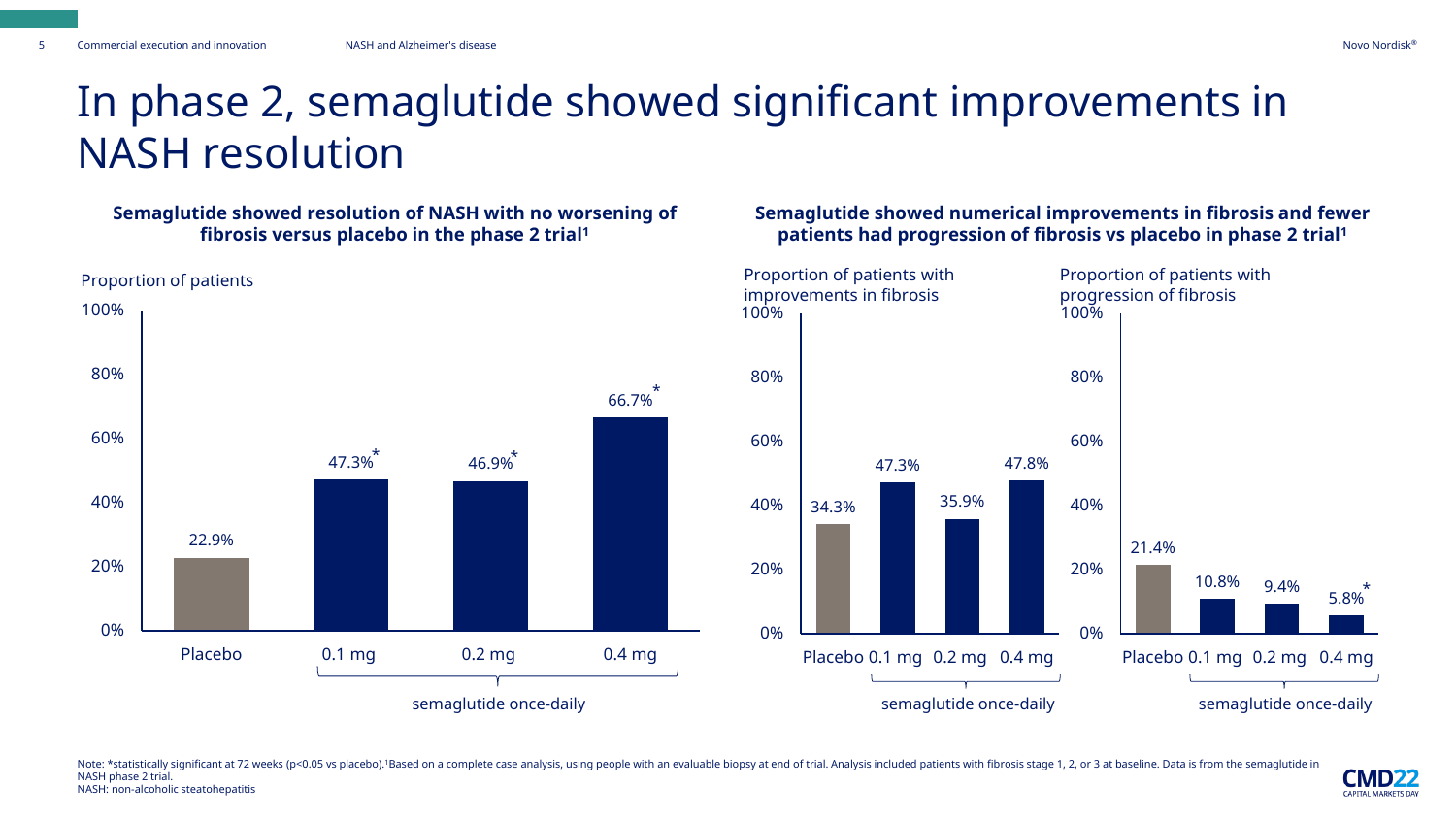**CMD22 CAPITAL MARKETS DAY** 

### In phase 2, semaglutide showed significant improvements in NASH resolution

#### **Semaglutide showed resolution of NASH with no worsening of fibrosis versus placebo in the phase 2 trial<sup>1</sup>**



#### **Semaglutide showed numerical improvements in fibrosis and fewer patients had progression of fibrosis vs placebo in phase 2 trial<sup>1</sup>**



Note: \*statistically significant at 72 weeks (p<0.05 ys placebo).<sup>1</sup>Based on a complete case analysis, using people with an evaluable biopsy at end of trial. Analysis included patients with fibrosis stage 1, 2, or 3 at bas NASH phase 2 trial. NASH: non-alcoholic steatohepatitis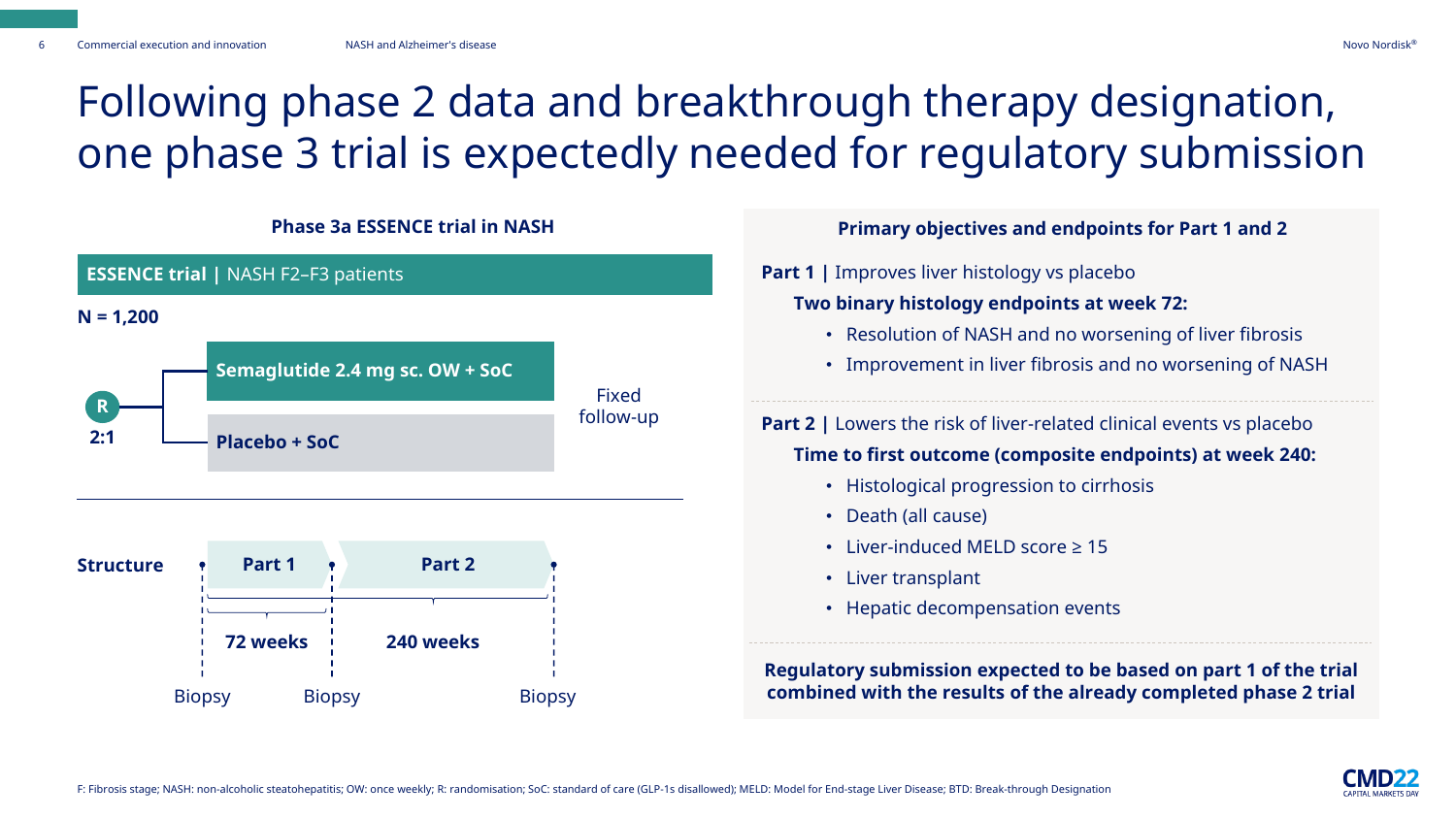### Following phase 2 data and breakthrough therapy designation, one phase 3 trial is expectedly needed for regulatory submission



| <b>Primary objectives and endpoints for Part 1 and 2</b>                                                                              |  |  |  |  |  |
|---------------------------------------------------------------------------------------------------------------------------------------|--|--|--|--|--|
| <b>Part 1</b>   Improves liver histology vs placebo                                                                                   |  |  |  |  |  |
| Two binary histology endpoints at week 72:                                                                                            |  |  |  |  |  |
| • Resolution of NASH and no worsening of liver fibrosis                                                                               |  |  |  |  |  |
| Improvement in liver fibrosis and no worsening of NASH<br>$\bullet$                                                                   |  |  |  |  |  |
| <b>Part 2</b>   Lowers the risk of liver-related clinical events vs placebo                                                           |  |  |  |  |  |
| Time to first outcome (composite endpoints) at week 240:                                                                              |  |  |  |  |  |
| Histological progression to cirrhosis<br>$\bullet$                                                                                    |  |  |  |  |  |
| • Death (all cause)                                                                                                                   |  |  |  |  |  |
| Liver-induced MELD score ≥ 15                                                                                                         |  |  |  |  |  |
| • Liver transplant                                                                                                                    |  |  |  |  |  |
| Hepatic decompensation events<br>٠                                                                                                    |  |  |  |  |  |
| Regulatory submission expected to be based on part 1 of the trial<br>combined with the results of the already completed phase 2 trial |  |  |  |  |  |

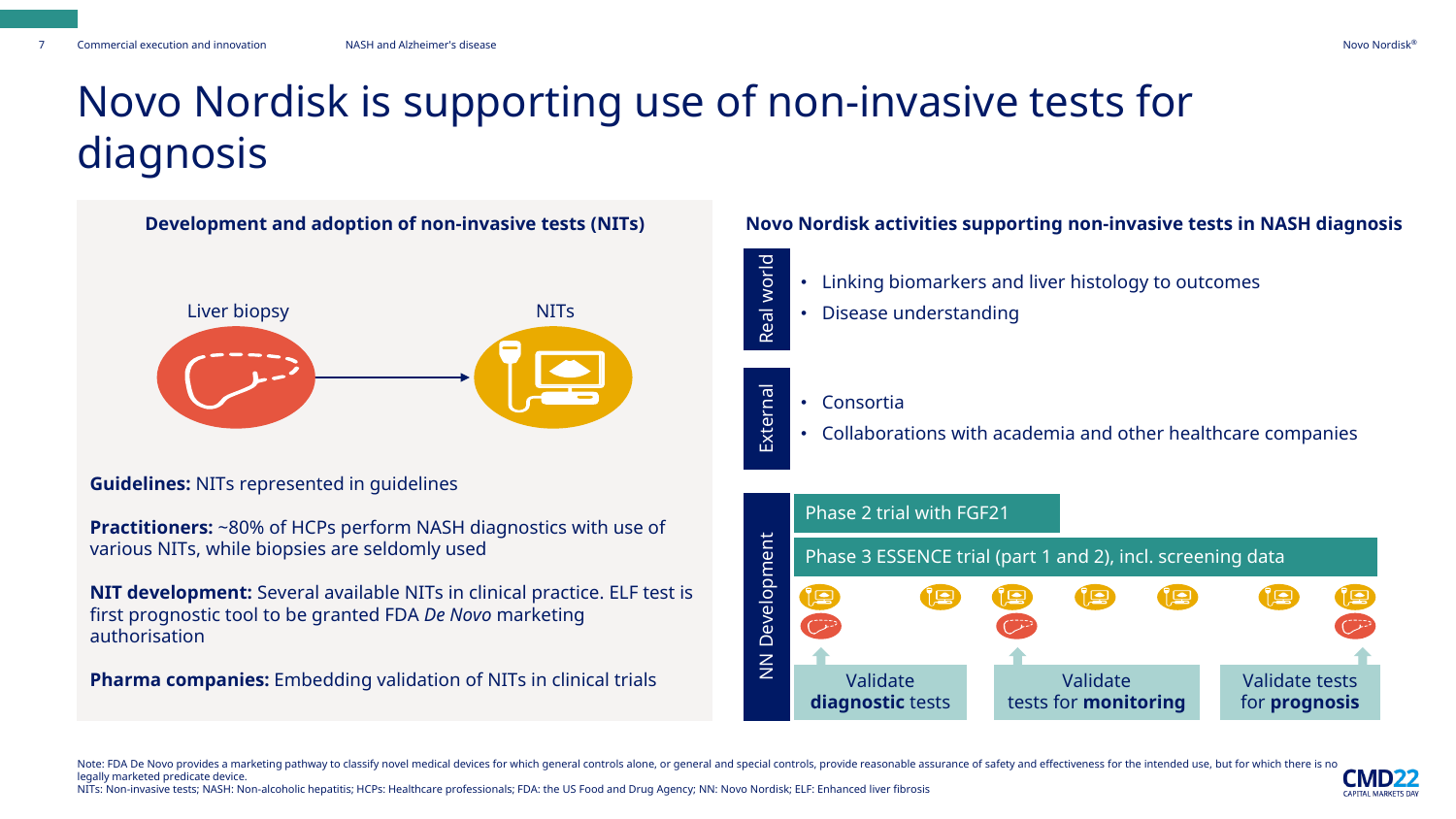### Novo Nordisk is supporting use of non-invasive tests for diagnosis



**Guidelines:** NITs represented in guidelines

**Practitioners:** ~80% of HCPs perform NASH diagnostics with use of various NITs, while biopsies are seldomly used

**NIT development:** Several available NITs in clinical practice. ELF test is first prognostic tool to be granted FDA *De Novo* marketing authorisation

**Pharma companies:** Embedding validation of NITs in clinical trials

#### **Development and adoption of non-invasive tests (NITs) Novo Nordisk activities supporting non-invasive tests in NASH diagnosis**

- Linking biomarkers and liver histology to outcomes
- Disease understanding
- External • Consortia

Real world

• Collaborations with academia and other healthcare companies



Note: FDA De Novo provides a marketing pathway to classify novel medical devices for which general controls alone, or general and special controls, provide reasonable assurance of safety and effectiveness for the intended legally marketed predicate device. CMD

NITs: Non-invasive tests; NASH: Non-alcoholic hepatitis; HCPs: Healthcare professionals; FDA: the US Food and Drug Agency; NN: Novo Nordisk; ELF: Enhanced liver fibrosis

CADITAL MADVETS DAY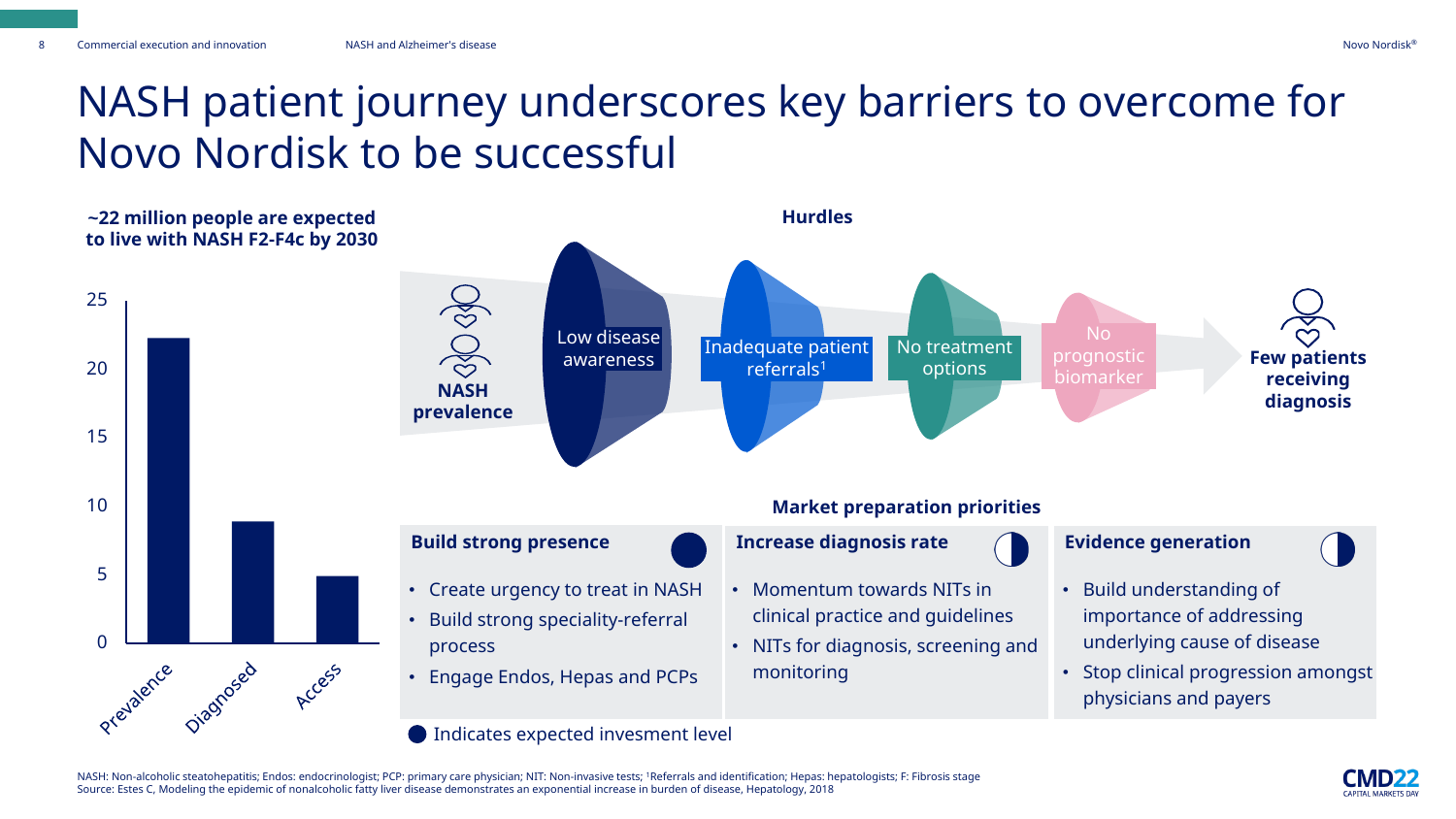### NASH patient journey underscores key barriers to overcome for Novo Nordisk to be successful



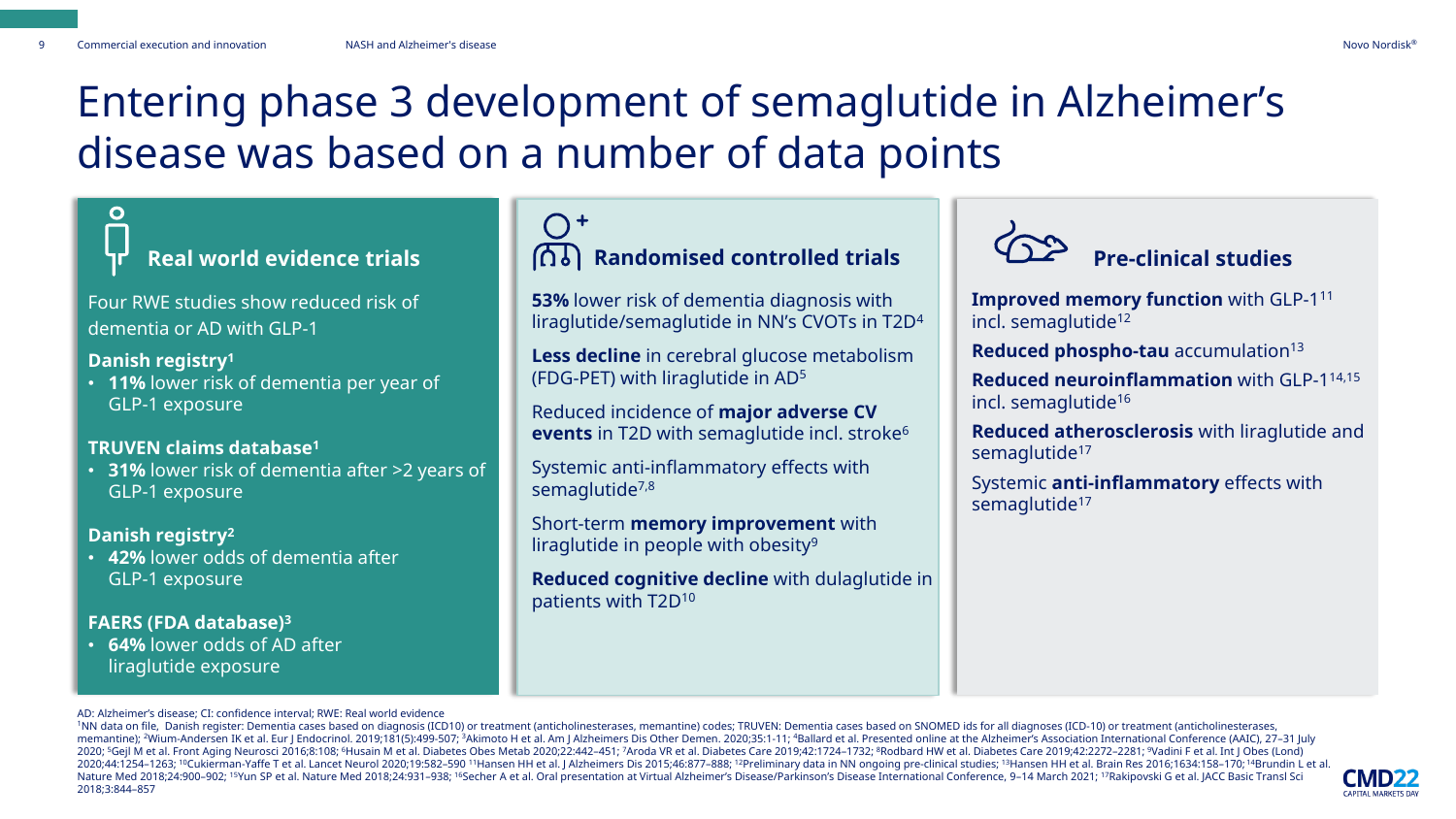### Entering phase 3 development of semaglutide in Alzheimer's disease was based on a number of data points

Four RWE studies show reduced risk of dementia or AD with GLP-1

#### **Danish registry<sup>1</sup>**

• **11%** lower risk of dementia per year of GLP-1 exposure

#### **TRUVEN claims database<sup>1</sup>**

• **31%** lower risk of dementia after >2 years of GLP-1 exposure

#### **Danish registry<sup>2</sup>**

• **42%** lower odds of dementia after GLP-1 exposure

#### **FAERS (FDA database)<sup>3</sup>**

• **64%** lower odds of AD after liraglutide exposure

### $O<sup>+</sup>$ **Real world evidence trials Randomised controlled trials Pre-clinical studies**

**53%** lower risk of dementia diagnosis with liraglutide/semaglutide in NN's CVOTs in T2D<sup>4</sup>

**Less decline** in cerebral glucose metabolism (FDG-PET) with liraglutide in AD<sup>5</sup>

Reduced incidence of **major adverse CV events** in T2D with semaglutide incl. stroke<sup>6</sup>

Systemic anti-inflammatory effects with semaglutide<sup>7,8</sup>

Short-term **memory improvement** with liraglutide in people with obesity<sup>9</sup>

**Reduced cognitive decline** with dulaglutide in patients with T2D<sup>10</sup>



**Improved memory function** with GLP-1<sup>11</sup> incl. semaglutide<sup>12</sup>

**Reduced phospho-tau** accumulation<sup>13</sup>

**Reduced neuroinflammation** with GLP-1 14,15 incl. semaglutide<sup>16</sup>

**Reduced atherosclerosis** with liraglutide and semaglutide<sup>17</sup>

Systemic **anti-inflammatory** effects with semaglutide<sup>17</sup>

AD: Alzheimer's disease; CI: confidence interval; RWE: Real world evidence

<sup>1</sup>NN data on file, Danish register: Dementia cases based on diagnosis (ICD10) or treatment (anticholinesterases, memantine) codes; TRUVEN: Dementia cases based on SNOMED ids for all diagnoses (ICD-10) or treatment (antich memantine); <sup>2</sup>Wium-Andersen IK et al. Eur J Endocrinol. 2019;181(5):499-507; <sup>3</sup>Akimoto H et al. Am J Alzheimers Dis Other Demen. 2020;35:1-11; <sup>4</sup>Ballard et al. Presented online at the Alzheimer's Association Internation 2020; 5Gejl M et al. Front Aging Neurosci 2016;8:108; 6Husain M et al. Diabetes Obes Metab 2020;22:442-451; 7Aroda VR et al. Diabetes Care 2019;42:1724-1732; 8Rodbard HW et al. Diabetes Care 2019;42:2272-2281; 9Vadini F et 2020;44:1254–1263; <sup>10</sup>Cukierman-Yaffe T et al. Lancet Neurol 2020;19:582–590 <sup>11</sup>Hansen HH et al. J Alzheimers Dis 2015;46:877–888; <sup>12</sup>Preliminary data in NN ongoing pre-clinical studies; <sup>13</sup>Hansen HH et al. Brain Res 2 Nature Med 2018;24:900-902; <sup>15</sup>Yun SP et al. Nature Med 2018;24:931-938; <sup>16</sup>Secher A et al. Oral presentation at Virtual Alzheimer's Disease/Parkinson's Disease International Conference, 9-14 March 2021; <sup>17</sup>Rakipovski G 2018;3:844–857

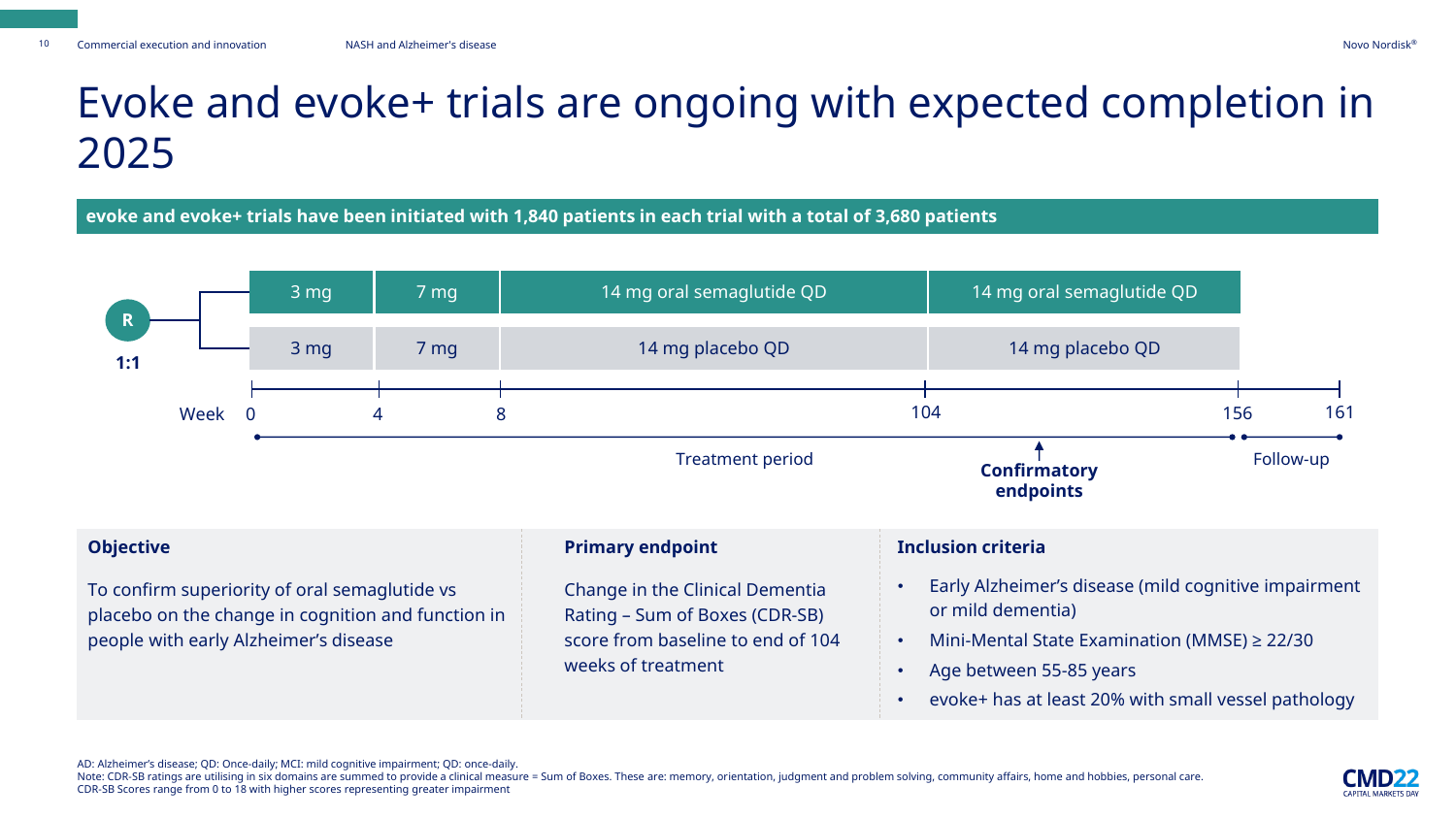### Evoke and evoke+ trials are ongoing with expected completion in 2025

**evoke and evoke+ trials have been initiated with 1,840 patients in each trial with a total of 3,680 patients** 



AD: Alzheimer's disease; QD: Once-daily; MCI: mild cognitive impairment; QD: once-daily.

Note: CDR-SB ratings are utilising in six domains are summed to provide a clinical measure = Sum of Boxes. These are: memory, orientation, judgment and problem solving, community affairs, home and hobbies, personal care. CDR-SB Scores range from 0 to 18 with higher scores representing greater impairment

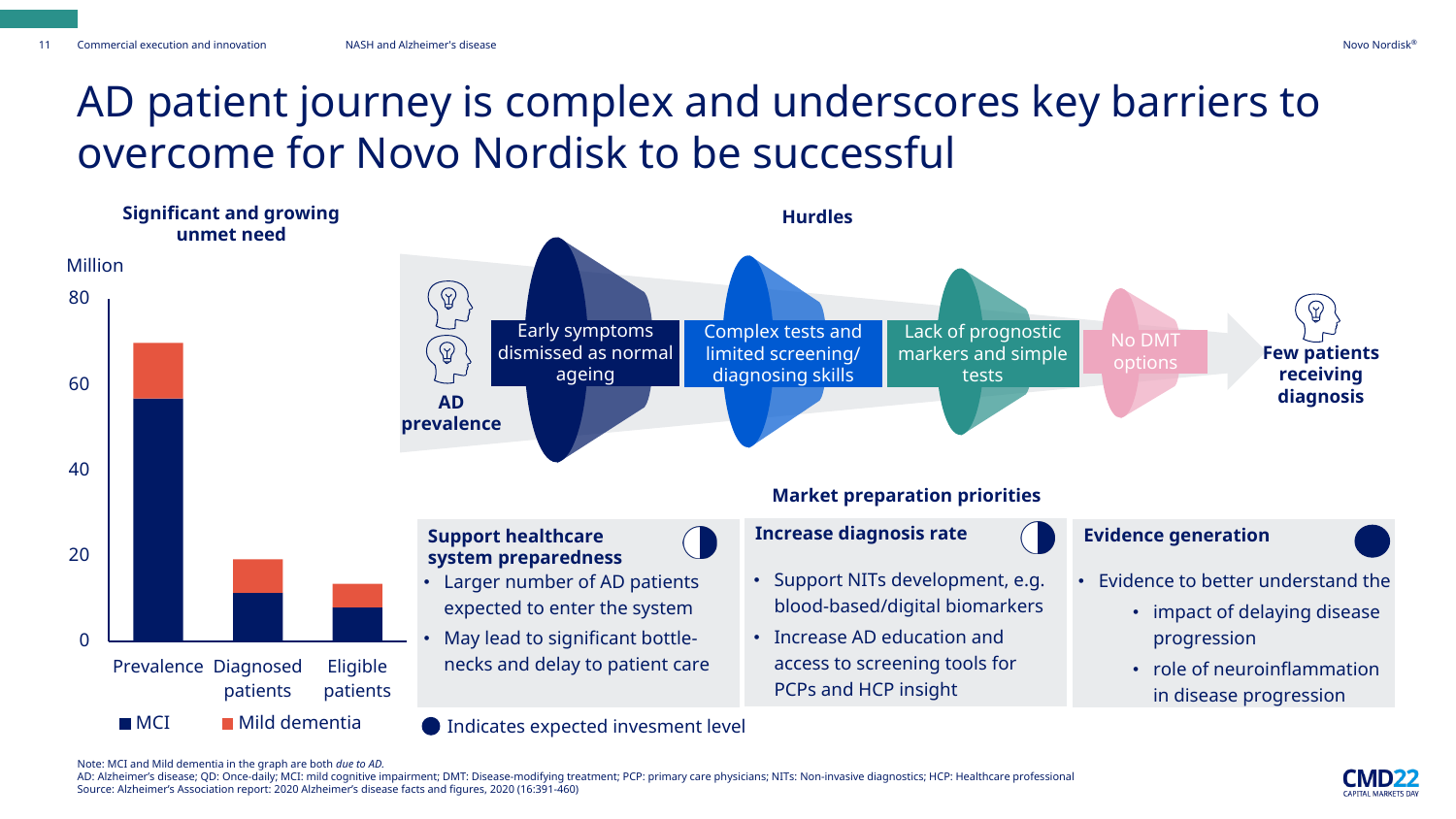### AD patient journey is complex and underscores key barriers to overcome for Novo Nordisk to be successful



Note: MCI and Mild dementia in the graph are both *due to AD.* 

AD: Alzheimer's disease; QD: Once-daily; MCI: mild cognitive impairment; DMT: Disease-modifying treatment; PCP: primary care physicians; NITs: Non-invasive diagnostics; HCP: Healthcare professional Source: Alzheimer's Association report: 2020 Alzheimer's disease facts and figures, 2020 (16:391-460)

**CAPITAL MARKETS DAY**